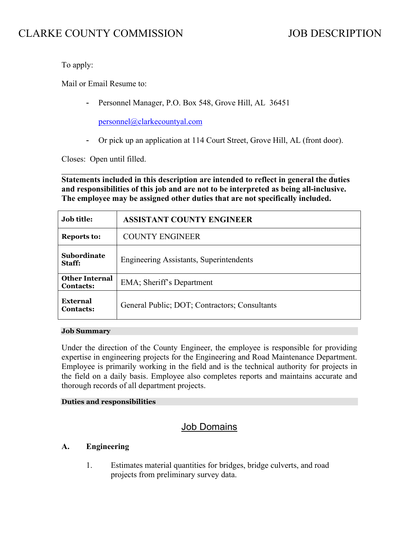# CLARKE COUNTY COMMISSION JOB DESCRIPTION

To apply:

Mail or Email Resume to:

- Personnel Manager, P.O. Box 548, Grove Hill, AL 36451

[personnel@clarkecountyal.com](mailto:personnel@clarkecountyal.com)

- Or pick up an application at 114 Court Street, Grove Hill, AL (front door).

Closes: Open until filled.

 $\mathcal{L}_\text{max}$  , and the contribution of the contribution of the contribution of the contribution of the contribution of the contribution of the contribution of the contribution of the contribution of the contribution of t **Statements included in this description are intended to reflect in general the duties and responsibilities of this job and are not to be interpreted as being all-inclusive. The employee may be assigned other duties that are not specifically included.**

| <b>Job title:</b>                         | <b>ASSISTANT COUNTY ENGINEER</b>               |
|-------------------------------------------|------------------------------------------------|
| <b>Reports to:</b>                        | <b>COUNTY ENGINEER</b>                         |
| <b>Subordinate</b><br>Staff:              | <b>Engineering Assistants, Superintendents</b> |
| <b>Other Internal</b><br><b>Contacts:</b> | EMA; Sheriff's Department                      |
| External<br><b>Contacts:</b>              | General Public; DOT; Contractors; Consultants  |

#### **Job Summary**

Under the direction of the County Engineer, the employee is responsible for providing expertise in engineering projects for the Engineering and Road Maintenance Department. Employee is primarily working in the field and is the technical authority for projects in the field on a daily basis. Employee also completes reports and maintains accurate and thorough records of all department projects.

#### **Duties and responsibilities**

### Job Domains

#### **A. Engineering**

1. Estimates material quantities for bridges, bridge culverts, and road projects from preliminary survey data.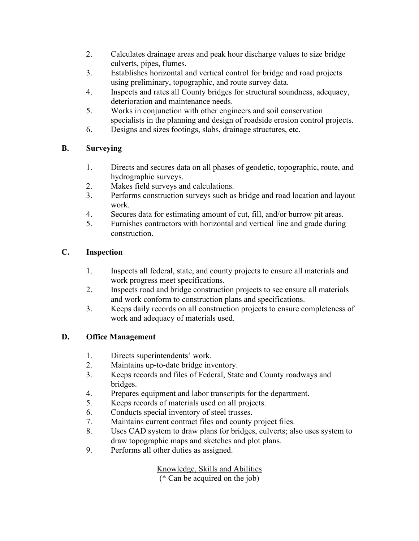- 2. Calculates drainage areas and peak hour discharge values to size bridge culverts, pipes, flumes.
- 3. Establishes horizontal and vertical control for bridge and road projects using preliminary, topographic, and route survey data.
- 4. Inspects and rates all County bridges for structural soundness, adequacy, deterioration and maintenance needs.
- 5. Works in conjunction with other engineers and soil conservation specialists in the planning and design of roadside erosion control projects.
- 6. Designs and sizes footings, slabs, drainage structures, etc.

### **B. Surveying**

- 1. Directs and secures data on all phases of geodetic, topographic, route, and hydrographic surveys.
- 2. Makes field surveys and calculations.
- 3. Performs construction surveys such as bridge and road location and layout work.
- 4. Secures data for estimating amount of cut, fill, and/or burrow pit areas.
- 5. Furnishes contractors with horizontal and vertical line and grade during construction.

## **C. Inspection**

- 1. Inspects all federal, state, and county projects to ensure all materials and work progress meet specifications.
- 2. Inspects road and bridge construction projects to see ensure all materials and work conform to construction plans and specifications.
- 3. Keeps daily records on all construction projects to ensure completeness of work and adequacy of materials used.

## **D. Office Management**

- 1. Directs superintendents' work.
- 2. Maintains up-to-date bridge inventory.
- 3. Keeps records and files of Federal, State and County roadways and bridges.
- 4. Prepares equipment and labor transcripts for the department.
- 5. Keeps records of materials used on all projects.
- 6. Conducts special inventory of steel trusses.
- 7. Maintains current contract files and county project files.
- 8. Uses CAD system to draw plans for bridges, culverts; also uses system to draw topographic maps and sketches and plot plans.
- 9. Performs all other duties as assigned.

Knowledge, Skills and Abilities (\* Can be acquired on the job)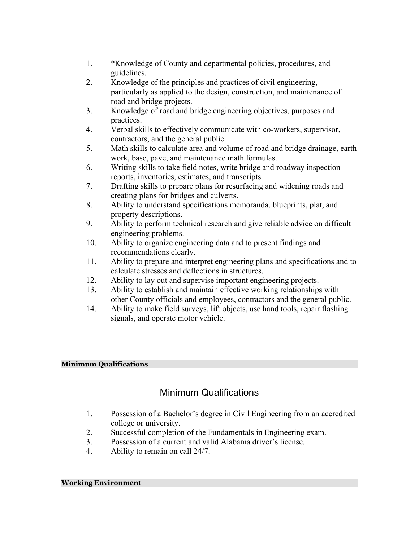- 1. \*Knowledge of County and departmental policies, procedures, and guidelines.
- 2. Knowledge of the principles and practices of civil engineering, particularly as applied to the design, construction, and maintenance of road and bridge projects.
- 3. Knowledge of road and bridge engineering objectives, purposes and practices.
- 4. Verbal skills to effectively communicate with co-workers, supervisor, contractors, and the general public.
- 5. Math skills to calculate area and volume of road and bridge drainage, earth work, base, pave, and maintenance math formulas.
- 6. Writing skills to take field notes, write bridge and roadway inspection reports, inventories, estimates, and transcripts.
- 7. Drafting skills to prepare plans for resurfacing and widening roads and creating plans for bridges and culverts.
- 8. Ability to understand specifications memoranda, blueprints, plat, and property descriptions.
- 9. Ability to perform technical research and give reliable advice on difficult engineering problems.
- 10. Ability to organize engineering data and to present findings and recommendations clearly.
- 11. Ability to prepare and interpret engineering plans and specifications and to calculate stresses and deflections in structures.
- 12. Ability to lay out and supervise important engineering projects.
- 13. Ability to establish and maintain effective working relationships with other County officials and employees, contractors and the general public.
- 14. Ability to make field surveys, lift objects, use hand tools, repair flashing signals, and operate motor vehicle.

### **Minimum Qualifications**

# Minimum Qualifications

- 1. Possession of a Bachelor's degree in Civil Engineering from an accredited college or university.
- 2. Successful completion of the Fundamentals in Engineering exam.
- 3. Possession of a current and valid Alabama driver's license.
- 4. Ability to remain on call 24/7.